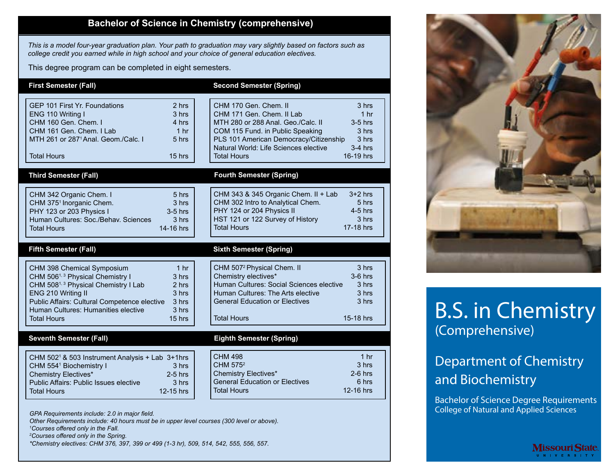#### **Bachelor of Science in Chemistry (comprehensive)**

*This is a model four-year graduation plan. Your path to graduation may vary slightly based on factors such as college credit you earned while in high school and your choice of general education electives.*

This degree program can be completed in eight semesters.

| <b>First Semester (Fall)</b>                                                                                                                                                                                                                                                                                                                | <b>Second Semester (Spring)</b>                                                                                                                                                                                                                                                                                            |
|---------------------------------------------------------------------------------------------------------------------------------------------------------------------------------------------------------------------------------------------------------------------------------------------------------------------------------------------|----------------------------------------------------------------------------------------------------------------------------------------------------------------------------------------------------------------------------------------------------------------------------------------------------------------------------|
| GFP 101 First Yr. Foundations<br>2 <sub>hrs</sub><br>ENG 110 Writing I<br>3 hrs<br>CHM 160 Gen. Chem. I<br>4 hrs<br>CHM 161 Gen. Chem. I Lab<br>1 <sub>hr</sub><br>MTH 261 or 287 <sup>1</sup> Anal, Geom./Calc, I<br>5 hrs<br><b>Total Hours</b><br>$15$ hrs                                                                               | CHM 170 Gen. Chem. II<br>3 hrs<br>CHM 171 Gen. Chem. II Lab<br>1 <sub>hr</sub><br>MTH 280 or 288 Anal, Geo./Calc. II<br>$3-5$ hrs<br>COM 115 Fund. in Public Speaking<br>3 hrs<br>PLS 101 American Democracy/Citizenship<br>3 hrs<br>Natural World: Life Sciences elective<br>$3-4$ hrs<br>16-19 hrs<br><b>Total Hours</b> |
| <b>Third Semester (Fall)</b>                                                                                                                                                                                                                                                                                                                | <b>Fourth Semester (Spring)</b>                                                                                                                                                                                                                                                                                            |
| CHM 342 Organic Chem. I<br>5 hrs<br>CHM 375 <sup>1</sup> Inorganic Chem.<br>3 hrs<br>PHY 123 or 203 Physics I<br>$3-5$ hrs<br>Human Cultures: Soc./Behav. Sciences<br>3 hrs<br>14-16 hrs<br><b>Total Hours</b>                                                                                                                              | CHM 343 & 345 Organic Chem. II + Lab<br>$3+2$ hrs<br>CHM 302 Intro to Analytical Chem.<br>5 hrs<br>PHY 124 or 204 Physics II<br>4-5 hrs<br>HST 121 or 122 Survey of History<br>3 hrs<br><b>Total Hours</b><br>17-18 hrs                                                                                                    |
| <b>Fifth Semester (Fall)</b>                                                                                                                                                                                                                                                                                                                | <b>Sixth Semester (Spring)</b>                                                                                                                                                                                                                                                                                             |
| CHM 398 Chemical Symposium<br>1 <sub>hr</sub><br>CHM 506 <sup>1, 3</sup> Physical Chemistry I<br>3 hrs<br>CHM 508 <sup>1, 3</sup> Physical Chemistry I Lab<br>2 hrs<br>ENG 210 Writing II<br>3 hrs<br>Public Affairs: Cultural Competence elective<br>3 hrs<br>Human Cultures: Humanities elective<br>3 hrs<br><b>Total Hours</b><br>15 hrs | CHM 507 <sup>2</sup> Physical Chem. II<br>3 hrs<br>Chemistry electives*<br>$3-6$ hrs<br>Human Cultures: Social Sciences elective<br>3 hrs<br>Human Cultures: The Arts elective<br>3 hrs<br><b>General Education or Electives</b><br>3 hrs<br><b>Total Hours</b><br>15-18 hrs                                               |
| <b>Seventh Semester (Fall)</b>                                                                                                                                                                                                                                                                                                              | <b>Eighth Semester (Spring)</b>                                                                                                                                                                                                                                                                                            |
| CHM 502 <sup>1</sup> & 503 Instrument Analysis + Lab 3+1hrs<br>CHM 5541 Biochemistry I<br>3 hrs<br><b>Chemistry Electives*</b><br>$2-5$ hrs<br>Public Affairs: Public Issues elective<br>3 <sub>hrs</sub><br>12-15 hrs<br><b>Total Hours</b>                                                                                                | <b>CHM 498</b><br>1 <sub>hr</sub><br>CHM 575 <sup>2</sup><br>3 <sub>hrs</sub><br><b>Chemistry Electives*</b><br>$2-6$ hrs<br><b>General Education or Electives</b><br>6 hrs<br><b>Total Hours</b><br>12-16 hrs                                                                                                             |



*1 Courses offered only in the Fall.*

*2 Courses offered only in the Spring.*

*\*Chemistry electives: CHM 376, 397, 399 or 499 (1-3 hr), 509, 514, 542, 555, 556, 557.*



# B.S. in Chemistry (Comprehensive)

## Department of Chemistry and Biochemistry

Bachelor of Science Degree Requirements College of Natural and Applied Sciences

**Missouri State**